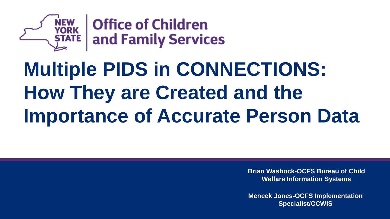

 $\mathbf{F}_{\mathbf{E}}$  Office of Children<br>E and Family Services

# **Multiple PIDS in CONNECTIONS: How They are Created and the Importance of Accurate Person Data**

**Brian Washock-OCFS Bureau of Child Welfare Information Systems**

**Meneek Jones-OCFS Implementation Specialist/CCWIS**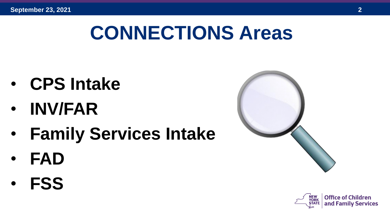## **CONNECTIONS Areas**

- **CPS Intake**
- **INV/FAR**
- **Family Services Intake**
- **FAD**
- **FSS**



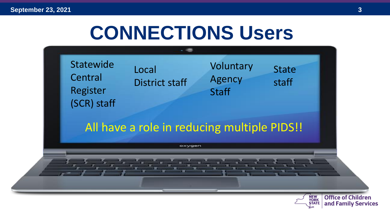## **CONNECTIONS Users**

Statewide Central Register (SCR) staff

Local District staff

Voluntary Agency **Staff** 

#### All have a role in reducing multiple PIDS!!

oxygen



**State** 

staff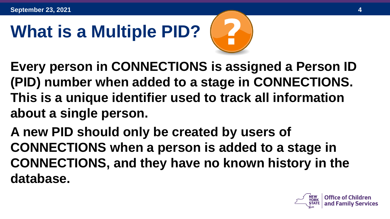# **What is a Multiple PID?**



- **Every person in CONNECTIONS is assigned a Person ID (PID) number when added to a stage in CONNECTIONS. This is a unique identifier used to track all information about a single person.**
- **A new PID should only be created by users of CONNECTIONS when a person is added to a stage in CONNECTIONS, and they have no known history in the database.**

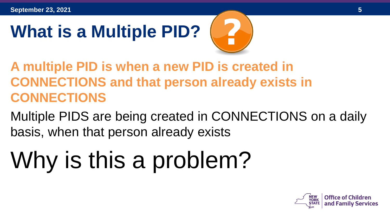# **What is a Multiple PID?**



- **A multiple PID is when a new PID is created in CONNECTIONS and that person already exists in CONNECTIONS**
- Multiple PIDS are being created in CONNECTIONS on a daily basis, when that person already exists

# Why is this a problem?

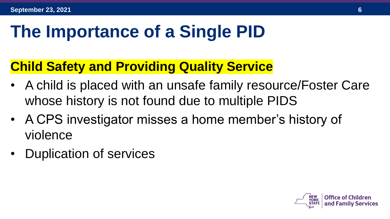#### **The Importance of a Single PID**

#### **Child Safety and Providing Quality Service**

- A child is placed with an unsafe family resource/Foster Care whose history is not found due to multiple PIDS
- A CPS investigator misses a home member's history of violence
- Duplication of services

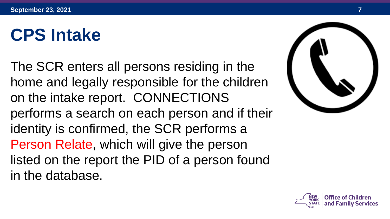#### **CPS Intake**

The SCR enters all persons residing in the home and legally responsible for the children on the intake report. CONNECTIONS performs a search on each person and if their identity is confirmed, the SCR performs a Person Relate, which will give the person listed on the report the PID of a person found in the database.



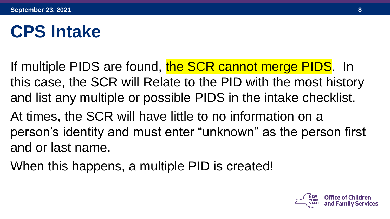#### **CPS Intake**

- If multiple PIDS are found, the SCR cannot merge PIDS. In this case, the SCR will Relate to the PID with the most history and list any multiple or possible PIDS in the intake checklist.
- At times, the SCR will have little to no information on a person's identity and must enter "unknown" as the person first and or last name.
- When this happens, a multiple PID is created!

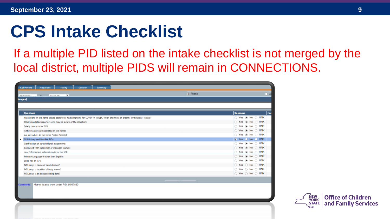#### **CPS Intake Checklist**

If a multiple PID listed on the intake checklist is not merged by the local district, multiple PIDS will remain in CONNECTIONS.

| <b>Call Persons</b><br><b>Allegations</b><br><b>Facility</b><br>Decision<br>Summary                                          |                                                      |
|------------------------------------------------------------------------------------------------------------------------------|------------------------------------------------------|
| · Phone<br>- 13<br>$0.5117/0.01$ $\rightarrow$ $\rightarrow$ $\rightarrow$ 0.00 $\rightarrow$                                | $\bigcap$ W                                          |
| hanges]                                                                                                                      |                                                      |
|                                                                                                                              |                                                      |
| Questions                                                                                                                    | $ _{\mathsf{Con}}$<br><b>Response</b>                |
| Has anyone in the home tested positive or had symptoms for COVID-19 (cough, fever, shortness of breath) in the past 14 days? | $\circ$ Yes $\circledast$ No $\circlearrowright$ UNK |
| Other mandated reporters who may be aware of the situation:                                                                  | ○ Yes ● No ○ UNK                                     |
| Safety concerns for CPS:                                                                                                     | $\bigcirc$ Yes $\circledast$ No $\bigcirc$ UNK       |
| Is there a day care operated in the home?                                                                                    |                                                      |
| Are any adults in the home Foster Parents?                                                                                   | $\circ$ Yes $\circledast$ No $\circlearrowright$ UNK |
| CPS History and Possible PIDs:                                                                                               | ● Yes ● No ● UNK                                     |
| Clarification of jurisdictional assignment:                                                                                  | $\circ$ Yes $\circledast$ No $\circlearrowright$ UNK |
| Consulted with supervisor or manager (name):                                                                                 |                                                      |
| Law Enforcement referral made by the SCR:                                                                                    | ○ Yes ● No ○ UNK                                     |
| Primary Language if other than English:                                                                                      | ○ Yes ● No ○ UNK                                     |
| Child has an IEP:                                                                                                            | $\bigcirc$ Yes $\circledast$ No $\bigcirc$ UNK       |
| FATL only: Is cause of death known?                                                                                          | $\circ$ Yes $\circ$ No $\circ$ UNK                   |
| FATL only: Is location of body known?                                                                                        | $\circ$ Yes $\circ$ No $\circ$ UNK                   |
| FATL only: Is an autopsy being done?                                                                                         | ○ Yes ○ No ○ UNK                                     |
|                                                                                                                              |                                                      |

Mother is also know under PID 34567890

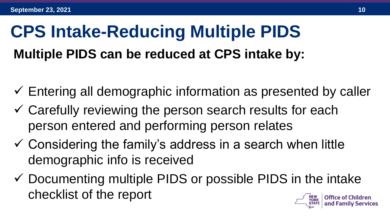#### **Multiple PIDS can be reduced at CPS intake by: CPS Intake-Reducing Multiple PIDS**

- $\checkmark$  Entering all demographic information as presented by caller
- $\checkmark$  Carefully reviewing the person search results for each person entered and performing person relates
- $\checkmark$  Considering the family's address in a search when little demographic info is received
- $\checkmark$  Documenting multiple PIDS or possible PIDS in the intake checklist of the report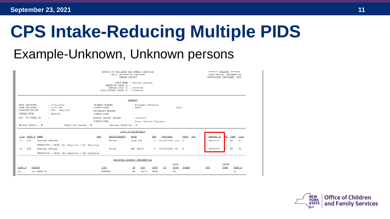## **CPS Intake-Reducing Multiple PIDS**

#### Example-Unknown, Unknown persons

|                                                                                                                                                                                                                       | ******* WARNING *******<br>CONFIDENTIAL INFORMATION<br>AUTHORIZED PERSONNEL ONLY                                                       |                                                                                                          |                                                                         |                                                           |
|-----------------------------------------------------------------------------------------------------------------------------------------------------------------------------------------------------------------------|----------------------------------------------------------------------------------------------------------------------------------------|----------------------------------------------------------------------------------------------------------|-------------------------------------------------------------------------|-----------------------------------------------------------|
| DATE REPORTED<br>: 07/26/2021<br>TIME REPORTED<br>$: 01:59$ PM<br><b>CLASSIFICATION</b><br>: CPS - Familial<br><b>INTAKE TYPE</b><br>: Initial<br>DUP. OF STAGE ID<br>11<br>Sensitive Issues : N<br>Worker Safety : N | PRIMARY WORKER<br>COUNTY/ZONE<br><b>SECONDARY WORKER</b><br>COUNTY/ZONE<br>WORKER TAKING INTAKE<br>COUNTY/ZONE<br>Special Handling : N | <b>SUMMARY</b><br>: Filipski, Christin<br>$:$ ERIE<br>÷.<br>÷.<br>: 36054283<br>: State Central Register | (A14)                                                                   |                                                           |
|                                                                                                                                                                                                                       |                                                                                                                                        | LIST OF PRINCIPALS                                                                                       |                                                                         |                                                           |
| ADDR # NAME<br>Line<br><b>PO1</b><br>Unknown, Unknown<br>01<br>ETHNICITY / RACE: Not Reported / Not Reported                                                                                                          | <b>RELATIONSHIP</b><br><b>AKA</b><br>Mother                                                                                            | <b>ROLE</b><br>Algd Sub                                                                                  | DOB (AGE)<br>TYPE<br><b>DOD</b><br><b>SEX</b><br>01/01/1996 (25) A<br>F | PERSON ID<br>LANG<br>EL.<br>Line<br>EN<br>01<br>48652232  |
| 02<br>P <sub>01</sub><br>Unknown, Unknown<br>ETHNICITY / RACE: Not Reported / Not Reported                                                                                                                            | Child                                                                                                                                  | Mal Child                                                                                                | F 01/01/2016 (5) A                                                      | 48652233<br>EN<br>02                                      |
|                                                                                                                                                                                                                       |                                                                                                                                        | REPORTED ADDRESS INFORMATION                                                                             |                                                                         |                                                           |
| ADDR #<br><b>STREET</b><br>123 MAIN ST<br>01                                                                                                                                                                          | <b>CITY</b><br><b>BUFFALO</b>                                                                                                          | ZIP<br>ST<br>14203<br>NY.                                                                                | <b>ADDR</b><br>TYPE<br>PHONE<br><b>CNTY</b><br>CD<br>ERIE<br>RS         | <b>PHONE</b><br><b>TYPE</b><br>ADDR #<br><b>EXT</b><br>01 |

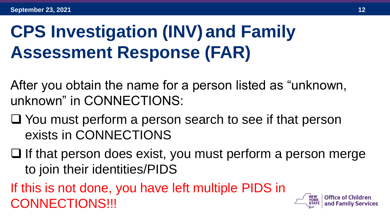## **CPS Investigation (INV) and Family Assessment Response (FAR)**

After you obtain the name for a person listed as "unknown, unknown" in CONNECTIONS:

- ❑ You must perform a person search to see if that person exists in CONNECTIONS
- ❑ If that person does exist, you must perform a person merge to join their identities/PIDS

If this is not done, you have left multiple PIDS in CONNECTIONS!!!

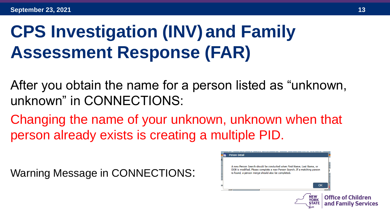## **CPS Investigation (INV) and Family Assessment Response (FAR)**

After you obtain the name for a person listed as "unknown, unknown" in CONNECTIONS:

Changing the name of your unknown, unknown when that person already exists is creating a multiple PID.

Warning Message in CONNECTIONS:

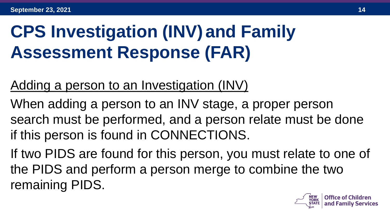## **CPS Investigation (INV) and Family Assessment Response (FAR)**

#### Adding a person to an Investigation (INV)

When adding a person to an INV stage, a proper person search must be performed, and a person relate must be done if this person is found in CONNECTIONS.

If two PIDS are found for this person, you must relate to one of the PIDS and perform a person merge to combine the two remaining PIDS.

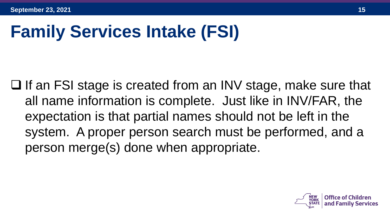## **Family Services Intake (FSI)**

❑ If an FSI stage is created from an INV stage, make sure that all name information is complete. Just like in INV/FAR, the expectation is that partial names should not be left in the system. A proper person search must be performed, and a person merge(s) done when appropriate.

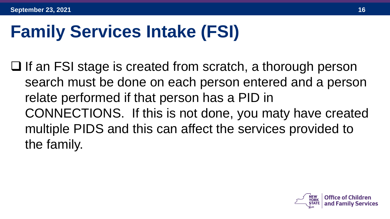#### **Family Services Intake (FSI)**

❑ If an FSI stage is created from scratch, a thorough person search must be done on each person entered and a person relate performed if that person has a PID in CONNECTIONS. If this is not done, you maty have created multiple PIDS and this can affect the services provided to the family.

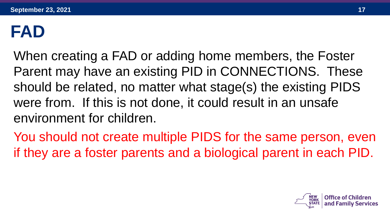#### **FAD**

When creating a FAD or adding home members, the Foster Parent may have an existing PID in CONNECTIONS. These should be related, no matter what stage(s) the existing PIDS were from. If this is not done, it could result in an unsafe environment for children.

You should not create multiple PIDS for the same person, even if they are a foster parents and a biological parent in each PID.

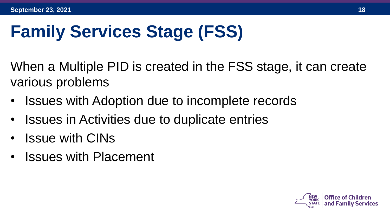## **Family Services Stage (FSS)**

When a Multiple PID is created in the FSS stage, it can create various problems

- Issues with Adoption due to incomplete records
- Issues in Activities due to duplicate entries
- Issue with CINs
- Issues with Placement



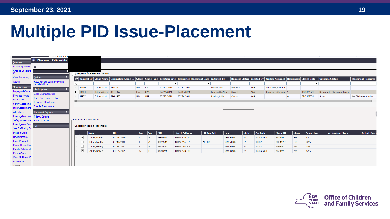#### **Multiple PID Issue-Placement**

|                                          | <b>PERIX INJUR</b>                              |     |                                 |             |                             |            |                 |            |            |                                                                                                           |            |                    |              |                 |                                                                         |                |            |                             |                             |
|------------------------------------------|-------------------------------------------------|-----|---------------------------------|-------------|-----------------------------|------------|-----------------|------------|------------|-----------------------------------------------------------------------------------------------------------|------------|--------------------|--------------|-----------------|-------------------------------------------------------------------------|----------------|------------|-----------------------------|-----------------------------|
| Common                                   | 4 Placement - Collins, Alisha                   |     |                                 |             |                             |            |                 |            |            |                                                                                                           |            |                    |              |                 |                                                                         |                |            |                             |                             |
| <b>List Assignments</b>                  |                                                 |     |                                 |             |                             |            |                 |            |            |                                                                                                           |            |                    |              |                 |                                                                         |                |            |                             |                             |
| Change Case(Sta<br>CD                    |                                                 |     | Requests for Placement Services |             |                             |            |                 |            |            |                                                                                                           |            |                    |              |                 |                                                                         |                |            |                             |                             |
| <b>Case Summary</b>                      | <b>Options</b>                                  |     |                                 |             |                             |            |                 |            |            | Request ID Stage Name Originating Stage ID Stage Type Creation Date Requested Placement Date Tnitiated By |            |                    |              |                 | Request Status   Created By   Worker Assigned   Responses   Closed Date |                |            | <b>Outcome Status</b>       | Placement Resource          |
| Assign                                   | Requests containing only end-<br>dated children | Τ6. |                                 |             |                             |            |                 |            |            |                                                                                                           |            |                    |              |                 |                                                                         |                |            |                             |                             |
| <b>Stage Actions</b>                     | <b>Child Options</b>                            |     | 49236                           |             | Collins, Alisha 33344497    |            | <b>FSS</b>      | <b>CWS</b> | 07/30/2021 | 07/30/2021                                                                                                |            | Luter, Latoi       | Referred     | A66             | Rodriguez, Adetutu 7                                                    |                |            |                             |                             |
| <b>Display All Case</b>                  | <b>Child Characteristics</b>                    |     | 48684                           |             | Collins, Alisha 33344497    |            | <b>FSS</b>      | <b>CWS</b> | 07/24/2021 | 07/30/2021                                                                                                |            | Lorenzotti, Alvaro | Closed       | A66             | Rodriguez, Adetutu                                                      |                | 07/30/2021 | No Suitable Placement Found |                             |
| <b>Progress Notes</b>                    | <b>Prior Placements - Child</b>                 |     | 48573                           |             | Collins, Alisha 33694522    |            | <b>INV</b>      | <b>SUB</b> | 07/22/2021 | 07/24/2021                                                                                                |            | Santos, Kelly      | Closed       | A66             |                                                                         | $\overline{0}$ | 07/24/2021 | Place                       | <b>Acs Childrens Center</b> |
| <b>Person List</b>                       | <b>Placement Evaluation</b>                     |     |                                 |             |                             |            |                 |            |            |                                                                                                           |            |                    |              |                 |                                                                         |                |            |                             |                             |
| Safety Assessme<br><b>Risk Assessmen</b> | <b>Special Restrictions</b>                     |     |                                 |             |                             |            |                 |            |            |                                                                                                           |            |                    |              |                 |                                                                         |                |            |                             |                             |
| <b>Allegations</b>                       | <b>Placement Options</b>                        |     |                                 |             |                             |            |                 |            |            |                                                                                                           |            |                    |              |                 |                                                                         |                |            |                             |                             |
| <b>Investigation Con</b>                 | <b>Priority Criteria</b>                        |     |                                 |             |                             |            |                 |            |            |                                                                                                           |            |                    |              |                 |                                                                         |                |            |                             |                             |
| Safety Assessme                          | <b>Referral Detail</b>                          |     | Placement Request Details       |             |                             |            |                 |            |            |                                                                                                           |            |                    |              |                 |                                                                         |                |            |                             |                             |
| <b>Investigation Actio</b>               | <b>Help</b>                                     |     |                                 |             | Children Needing Placement: |            |                 |            |            |                                                                                                           |            |                    |              |                 |                                                                         |                |            |                             |                             |
| <b>Sex Trafficking 9</b>                 |                                                 |     |                                 |             |                             |            |                 |            |            |                                                                                                           |            |                    |              |                 |                                                                         |                |            |                             |                             |
| <b>Missing Child</b>                     |                                                 |     |                                 | <b>Name</b> |                             | l DOB      | Age             | <b>Sex</b> | $ $ PID    | <b>Street Address</b>                                                                                     | PO Box Apt | City               | <b>State</b> | <b>Zip Code</b> | Stage ID                                                                | <b>Stage</b>   | Stage Type | <b>Verification Status</b>  | <b>Actual Placer</b>        |
| <b>Review Intake</b>                     |                                                 |     | ⊽                               |             | <b>Collins, Arthur</b>      | 08/28/2020 | $\mathbf{0}$    |            | 48546479   | 100 W 42ND ST                                                                                             |            | <b>NEW YORK</b>    | <b>NY</b>    | 10036-6501      | 33344497                                                                | <b>FSS</b>     | <b>CWS</b> |                             |                             |
| <b>Local Protocol</b>                    |                                                 |     |                                 |             | Collins, Freddy             | 01/19/2013 | 8               | M          | 38819511   | 100 W 156TH ST                                                                                            | APT 3A     | <b>NEW YORK</b>    | NY           | 10032           | 33344497                                                                | <b>FSS</b>     | <b>CWS</b> |                             |                             |
| Foster Home Iden                         |                                                 |     |                                 |             | Collins, Freddy             | 01/19/2013 | 8               | M          | 49474051   | 100 W 156TH ST                                                                                            |            | <b>NEW YORK</b>    | <b>NY</b>    | 10032           | 33694522                                                                | <b>INV</b>     | <b>SUB</b> |                             |                             |
| <b>Family Relationsh</b>                 |                                                 |     | $\overline{\smile}$             |             | Collins, Kelly A            | 04/04/2009 | 12 <sup>2</sup> |            | 33090786   | 100 W 42ND ST                                                                                             |            | <b>NEW YORK</b>    | <b>NY</b>    | 10036-6501      | 33344497                                                                | <b>FSS</b>     | <b>CWS</b> |                             |                             |
| Photos/Docs<br>View All Photos/D         |                                                 |     |                                 |             |                             |            |                 |            |            |                                                                                                           |            |                    |              |                 |                                                                         |                |            |                             |                             |
| Placement                                |                                                 |     |                                 |             |                             |            |                 |            |            |                                                                                                           |            |                    |              |                 |                                                                         |                |            |                             |                             |
| August                                   |                                                 |     |                                 |             |                             |            |                 |            |            |                                                                                                           |            |                    |              |                 |                                                                         |                |            |                             |                             |

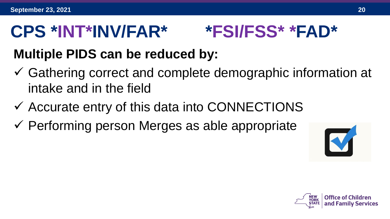#### **CPS \*INT\*INV/FAR\* \*FSI/FSS\* \*FAD\***

#### **Multiple PIDS can be reduced by:**

- ✓ Gathering correct and complete demographic information at intake and in the field
- $\checkmark$  Accurate entry of this data into CONNECTIONS
- $\checkmark$  Performing person Merges as able appropriate